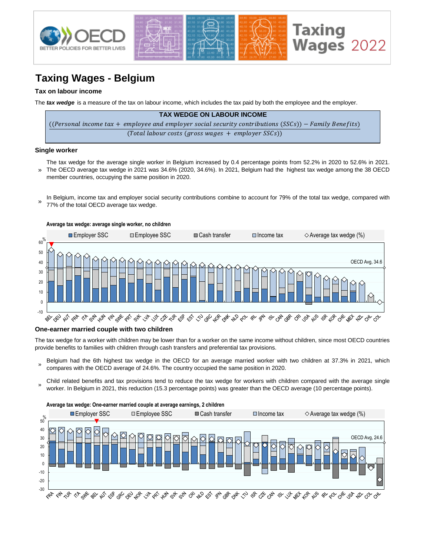

# **Taxing Wages - Belgium**

## **Tax on labour income**

The *tax wedge* is a measure of the tax on labour income, which includes the tax paid by both the employee and the employer.

| <b>TAX WEDGE ON LABOUR INCOME</b>                                                                      |
|--------------------------------------------------------------------------------------------------------|
| ((Personal income tax + employee and employer social security contributions (SSCs)) – Family Benefits) |
| $(Total$ labour costs (gross wages + employer SSCs))                                                   |

#### **Single worker**

- » The tax wedge for the average single worker in Belgium increased by 0.4 percentage points from 52.2% in 2020 to 52.6% in 2021. The OECD average tax wedge in 2021 was 34.6% (2020, 34.6%). In 2021, Belgium had the highest tax wedge among the 38 OECD member countries, occupying the same position in 2020.
- In Belgium, income tax and employer social security contributions combine to account for 79% of the total tax wedge, compared with 77% of the total OECD average tax wedge. »



### **One-earner married couple with two children**

The tax wedge for a worker with children may be lower than for a worker on the same income without children, since most OECD countries provide benefits to families with children through cash transfers and preferential tax provisions.

- » Belgium had the 6th highest tax wedge in the OECD for an average married worker with two children at 37.3% in 2021, which compares with the OECD average of 24.6%. The country occupied the same position in 2020.
- Child related benefits and tax provisions tend to reduce the tax wedge for workers with children compared with the average single worker. In Belgium in 2021, this reduction (15.3 percentage points) was greater than the OECD average (10 percentage points).